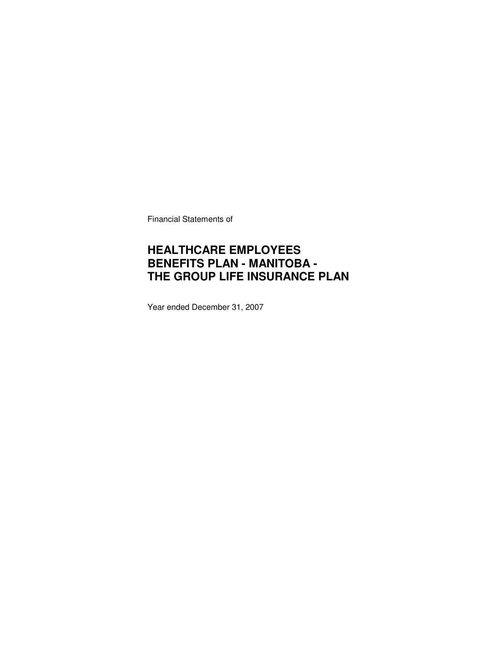Financial Statements of

### **HEALTHCARE EMPLOYEES BENEFITS PLAN - MANITOBA - THE GROUP LIFE INSURANCE PLAN**

Year ended December 31, 2007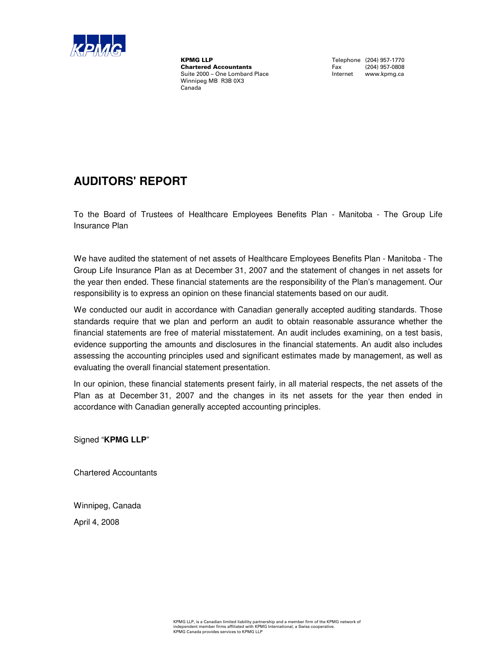

**KPMG LLP**<br> **Chartered Accountants**<br> **Chartered Accountants**<br>
Tax (204) 957-0808 **Chartered Accountants** Fax (204) 957-0808<br>
Suite 2000 – One Lombard Place **Face Manual Internet Manual Work, Container** Suite 2000 – One Lombard Place Winnipeg MB R3B 0X3 Canada

### **AUDITORS' REPORT**

To the Board of Trustees of Healthcare Employees Benefits Plan - Manitoba - The Group Life Insurance Plan

We have audited the statement of net assets of Healthcare Employees Benefits Plan - Manitoba - The Group Life Insurance Plan as at December 31, 2007 and the statement of changes in net assets for the year then ended. These financial statements are the responsibility of the Plan's management. Our responsibility is to express an opinion on these financial statements based on our audit.

We conducted our audit in accordance with Canadian generally accepted auditing standards. Those standards require that we plan and perform an audit to obtain reasonable assurance whether the financial statements are free of material misstatement. An audit includes examining, on a test basis, evidence supporting the amounts and disclosures in the financial statements. An audit also includes assessing the accounting principles used and significant estimates made by management, as well as evaluating the overall financial statement presentation.

In our opinion, these financial statements present fairly, in all material respects, the net assets of the Plan as at December 31, 2007 and the changes in its net assets for the year then ended in accordance with Canadian generally accepted accounting principles.

Signed "**KPMG LLP**"

Chartered Accountants

Winnipeg, Canada

April 4, 2008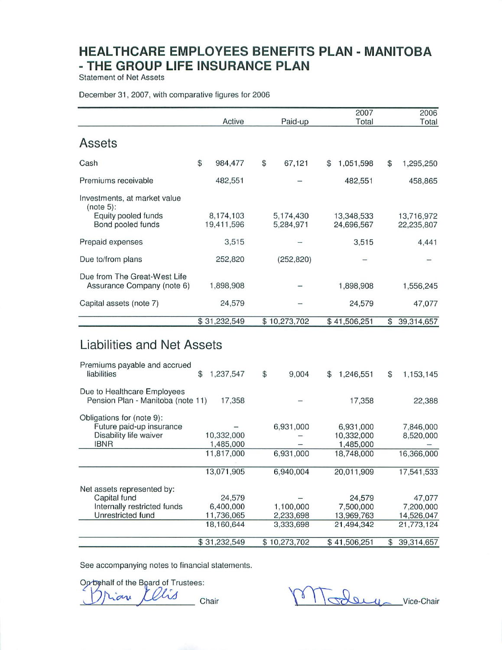**Statement of Net Assets** 

#### December 31, 2007, with comparative figures for 2006

|                                                                                                | Active                                          | Paid-up                             |     | 2007<br>Total                                      |                | 2006<br>Total                                   |
|------------------------------------------------------------------------------------------------|-------------------------------------------------|-------------------------------------|-----|----------------------------------------------------|----------------|-------------------------------------------------|
| Assets                                                                                         |                                                 |                                     |     |                                                    |                |                                                 |
| Cash                                                                                           | \$<br>984,477                                   | \$<br>67,121                        | \$  | 1,051,598                                          | \$             | 1,295,250                                       |
| Premiums receivable                                                                            | 482,551                                         |                                     |     | 482,551                                            |                | 458,865                                         |
| Investments, at market value<br>(note 5):<br>Equity pooled funds<br>Bond pooled funds          | 8,174,103<br>19,411,596                         | 5,174,430<br>5,284,971              |     | 13,348,533<br>24,696,567                           |                | 13,716,972<br>22,235,807                        |
| Prepaid expenses                                                                               | 3,515                                           |                                     |     | 3,515                                              |                | 4,441                                           |
| Due to/from plans                                                                              | 252,820                                         | (252, 820)                          |     |                                                    |                |                                                 |
| Due from The Great-West Life<br>Assurance Company (note 6)                                     | 1,898,908                                       |                                     |     | 1,898,908                                          |                | 1,556,245                                       |
| Capital assets (note 7)                                                                        | 24,579                                          |                                     |     | 24,579                                             |                | 47,077                                          |
|                                                                                                | \$31,232,549                                    | \$10,273,702                        |     | \$41,506,251                                       | \$             | 39,314,657                                      |
| Liabilities and Net Assets<br>Premiums payable and accrued                                     |                                                 |                                     |     |                                                    |                |                                                 |
| liabilities                                                                                    | \$<br>1,237,547                                 | \$<br>9,004                         | \$. | 1,246,551                                          | \$             | 1,153,145                                       |
| Due to Healthcare Employees<br>Pension Plan - Manitoba (note 11)                               | 17,358                                          |                                     |     | 17,358                                             |                | 22,388                                          |
| Obligations for (note 9):<br>Future paid-up insurance<br>Disability life waiver<br><b>IBNR</b> | 10,332,000<br>1,485,000<br>11,817,000           | 6,931,000<br>6,931,000              |     | 6,931,000<br>10,332,000<br>1,485,000<br>18,748,000 |                | 7,846,000<br>8,520,000<br>16,366,000            |
|                                                                                                | 13,071,905                                      | 6,940,004                           |     | 20,011,909                                         |                | 17,541,533                                      |
| Net assets represented by:<br>Capital fund<br>Internally restricted funds<br>Unrestricted fund | 24,579<br>6,400,000<br>11,736,065<br>18,160,644 | 1,100,000<br>2,233,698<br>3,333,698 |     | 24,579<br>7,500,000<br>13,969,763<br>21,494,342    |                | 47,077<br>7,200,000<br>14,526,047<br>21,773,124 |
|                                                                                                | \$31,232,549                                    | \$10,273,702                        |     | \$41,506,251                                       | $\mathfrak{P}$ | 39,314,657                                      |

See accompanying notes to financial statements.

Op behalf of the Board of Trustees:

Vis  $\alpha$ Chair

They Vice-Chair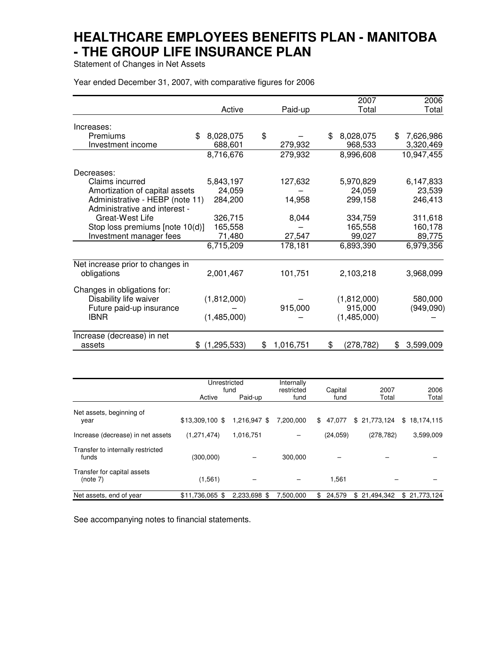Statement of Changes in Net Assets

Year ended December 31, 2007, with comparative figures for 2006

|                                  |                     |    |           |    | 2007        | 2006            |
|----------------------------------|---------------------|----|-----------|----|-------------|-----------------|
|                                  | Active              |    | Paid-up   |    | Total       | Total           |
| Increases:                       |                     |    |           |    |             |                 |
| Premiums                         | 8,028,075<br>\$     | \$ |           | \$ | 8,028,075   | \$<br>7,626,986 |
| Investment income                | 688,601             |    | 279,932   |    | 968,533     | 3,320,469       |
|                                  | 8,716,676           |    | 279,932   |    | 8,996,608   | 10,947,455      |
| Decreases:                       |                     |    |           |    |             |                 |
| Claims incurred                  | 5,843,197           |    | 127,632   |    | 5,970,829   | 6,147,833       |
| Amortization of capital assets   | 24,059              |    |           |    | 24,059      | 23,539          |
| Administrative - HEBP (note 11)  | 284,200             |    | 14,958    |    | 299,158     | 246,413         |
| Administrative and interest -    |                     |    |           |    |             |                 |
| Great-West Life                  | 326,715             |    | 8,044     |    | 334,759     | 311,618         |
| Stop loss premiums [note 10(d)]  | 165,558             |    |           |    | 165,558     | 160,178         |
| Investment manager fees          | 71,480              |    | 27,547    |    | 99,027      | 89,775          |
|                                  | 6,715,209           |    | 178,181   |    | 6,893,390   | 6,979,356       |
| Net increase prior to changes in |                     |    |           |    |             |                 |
| obligations                      | 2,001,467           |    | 101,751   |    | 2,103,218   | 3,968,099       |
| Changes in obligations for:      |                     |    |           |    |             |                 |
| Disability life waiver           | (1,812,000)         |    |           |    | (1,812,000) | 580,000         |
| Future paid-up insurance         |                     |    | 915,000   |    | 915,000     | (949,090)       |
| <b>IBNR</b>                      | (1,485,000)         |    |           |    | (1,485,000) |                 |
| Increase (decrease) in net       |                     |    |           |    |             |                 |
| assets                           | (1, 295, 533)<br>S. | S  | 1,016,751 | S  | (278,782)   | \$<br>3,599,009 |

|                                            | Unrestricted<br>fund |              | Internally<br>restricted<br>Capital |              | 2007         | 2006             |  |
|--------------------------------------------|----------------------|--------------|-------------------------------------|--------------|--------------|------------------|--|
|                                            | Active               | Paid-up      | fund                                | fund         | Total        | Total            |  |
| Net assets, beginning of<br>year           | $$13,309,100$ \$     | 1,216,947 \$ | 7,200,000                           | \$<br>47.077 | \$21,773,124 | \$<br>18,174,115 |  |
| Increase (decrease) in net assets          | (1, 271, 474)        | 1,016,751    |                                     | (24, 059)    | (278, 782)   | 3,599,009        |  |
| Transfer to internally restricted<br>funds | (300,000)            |              | 300.000                             |              |              |                  |  |
| Transfer for capital assets<br>(note 7)    | (1, 561)             |              |                                     | 1,561        |              |                  |  |
| Net assets, end of year                    | \$11.736.065 \$      | 2.233.698 \$ | 7.500.000                           | 24.579<br>\$ | \$21.494.342 | \$21,773,124     |  |

See accompanying notes to financial statements.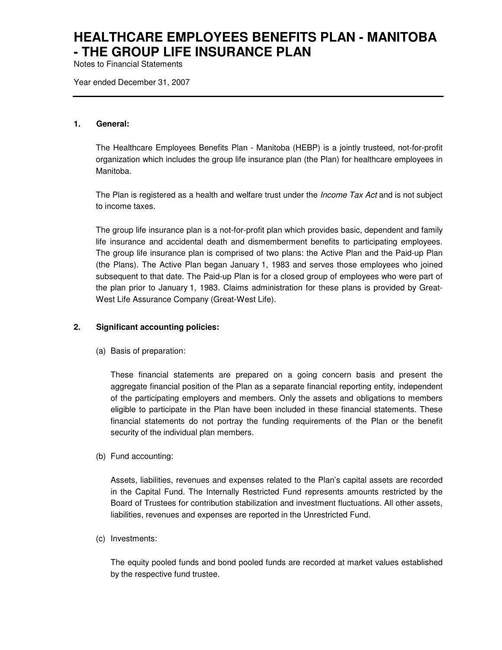Notes to Financial Statements

Year ended December 31, 2007

#### **1. General:**

The Healthcare Employees Benefits Plan - Manitoba (HEBP) is a jointly trusteed, not-for-profit organization which includes the group life insurance plan (the Plan) for healthcare employees in Manitoba.

The Plan is registered as a health and welfare trust under the *Income Tax Act* and is not subject to income taxes.

The group life insurance plan is a not-for-profit plan which provides basic, dependent and family life insurance and accidental death and dismemberment benefits to participating employees. The group life insurance plan is comprised of two plans: the Active Plan and the Paid-up Plan (the Plans). The Active Plan began January 1, 1983 and serves those employees who joined subsequent to that date. The Paid-up Plan is for a closed group of employees who were part of the plan prior to January 1, 1983. Claims administration for these plans is provided by Great-West Life Assurance Company (Great-West Life).

#### **2. Significant accounting policies:**

(a) Basis of preparation:

These financial statements are prepared on a going concern basis and present the aggregate financial position of the Plan as a separate financial reporting entity, independent of the participating employers and members. Only the assets and obligations to members eligible to participate in the Plan have been included in these financial statements. These financial statements do not portray the funding requirements of the Plan or the benefit security of the individual plan members.

(b) Fund accounting:

Assets, liabilities, revenues and expenses related to the Plan's capital assets are recorded in the Capital Fund. The Internally Restricted Fund represents amounts restricted by the Board of Trustees for contribution stabilization and investment fluctuations. All other assets, liabilities, revenues and expenses are reported in the Unrestricted Fund.

(c) Investments:

The equity pooled funds and bond pooled funds are recorded at market values established by the respective fund trustee.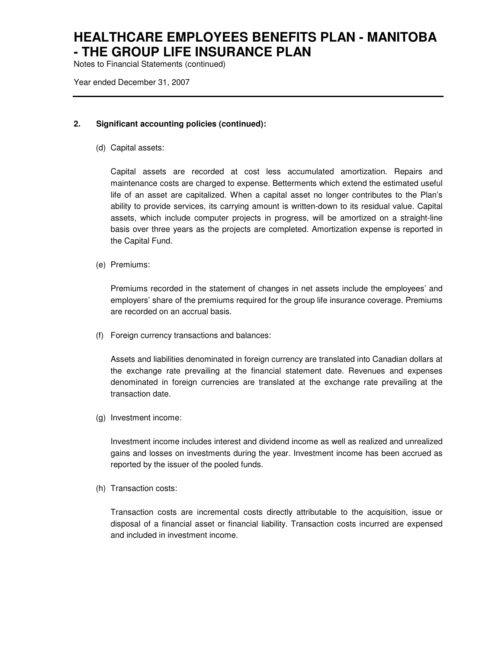Notes to Financial Statements (continued)

Year ended December 31, 2007

#### **2. Significant accounting policies (continued):**

(d) Capital assets:

Capital assets are recorded at cost less accumulated amortization. Repairs and maintenance costs are charged to expense. Betterments which extend the estimated useful life of an asset are capitalized. When a capital asset no longer contributes to the Plan's ability to provide services, its carrying amount is written-down to its residual value. Capital assets, which include computer projects in progress, will be amortized on a straight-line basis over three years as the projects are completed. Amortization expense is reported in the Capital Fund.

(e) Premiums:

Premiums recorded in the statement of changes in net assets include the employees' and employers' share of the premiums required for the group life insurance coverage. Premiums are recorded on an accrual basis.

(f) Foreign currency transactions and balances:

Assets and liabilities denominated in foreign currency are translated into Canadian dollars at the exchange rate prevailing at the financial statement date. Revenues and expenses denominated in foreign currencies are translated at the exchange rate prevailing at the transaction date.

(g) Investment income:

Investment income includes interest and dividend income as well as realized and unrealized gains and losses on investments during the year. Investment income has been accrued as reported by the issuer of the pooled funds.

(h) Transaction costs:

Transaction costs are incremental costs directly attributable to the acquisition, issue or disposal of a financial asset or financial liability. Transaction costs incurred are expensed and included in investment income.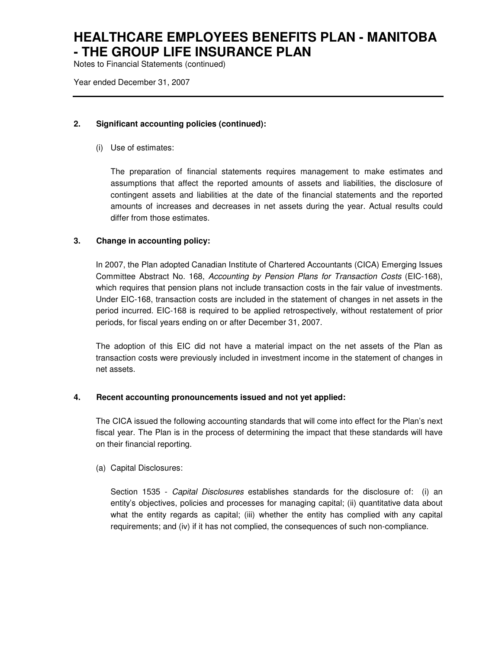Notes to Financial Statements (continued)

Year ended December 31, 2007

#### **2. Significant accounting policies (continued):**

(i) Use of estimates:

The preparation of financial statements requires management to make estimates and assumptions that affect the reported amounts of assets and liabilities, the disclosure of contingent assets and liabilities at the date of the financial statements and the reported amounts of increases and decreases in net assets during the year. Actual results could differ from those estimates.

### **3. Change in accounting policy:**

In 2007, the Plan adopted Canadian Institute of Chartered Accountants (CICA) Emerging Issues Committee Abstract No. 168, Accounting by Pension Plans for Transaction Costs (EIC-168), which requires that pension plans not include transaction costs in the fair value of investments. Under EIC-168, transaction costs are included in the statement of changes in net assets in the period incurred. EIC-168 is required to be applied retrospectively, without restatement of prior periods, for fiscal years ending on or after December 31, 2007.

The adoption of this EIC did not have a material impact on the net assets of the Plan as transaction costs were previously included in investment income in the statement of changes in net assets.

#### **4. Recent accounting pronouncements issued and not yet applied:**

The CICA issued the following accounting standards that will come into effect for the Plan's next fiscal year. The Plan is in the process of determining the impact that these standards will have on their financial reporting.

(a) Capital Disclosures:

Section 1535 - Capital Disclosures establishes standards for the disclosure of: (i) an entity's objectives, policies and processes for managing capital; (ii) quantitative data about what the entity regards as capital; (iii) whether the entity has complied with any capital requirements; and (iv) if it has not complied, the consequences of such non-compliance.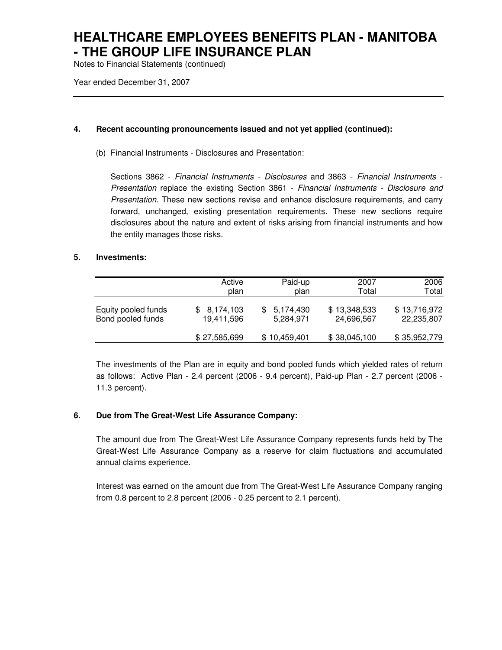Notes to Financial Statements (continued)

Year ended December 31, 2007

### **4. Recent accounting pronouncements issued and not yet applied (continued):**

(b) Financial Instruments - Disclosures and Presentation:

Sections 3862 - Financial Instruments - Disclosures and 3863 - Financial Instruments - Presentation replace the existing Section 3861 - Financial Instruments - Disclosure and Presentation. These new sections revise and enhance disclosure requirements, and carry forward, unchanged, existing presentation requirements. These new sections require disclosures about the nature and extent of risks arising from financial instruments and how the entity manages those risks.

#### **5. Investments:**

|                     | Active       | Paid-up      | 2007         | 2006         |
|---------------------|--------------|--------------|--------------|--------------|
|                     | plan         | plan         | Total        | Total        |
| Equity pooled funds | \$8,174,103  | 5,174,430    | \$13,348,533 | \$13,716,972 |
| Bond pooled funds   | 19,411,596   | 5,284,971    | 24,696,567   | 22,235,807   |
|                     | \$27,585,699 | \$10,459,401 | \$38,045,100 | \$35,952,779 |

The investments of the Plan are in equity and bond pooled funds which yielded rates of return as follows: Active Plan - 2.4 percent (2006 - 9.4 percent), Paid-up Plan - 2.7 percent (2006 - 11.3 percent).

### **6. Due from The Great-West Life Assurance Company:**

The amount due from The Great-West Life Assurance Company represents funds held by The Great-West Life Assurance Company as a reserve for claim fluctuations and accumulated annual claims experience.

Interest was earned on the amount due from The Great-West Life Assurance Company ranging from 0.8 percent to 2.8 percent (2006 - 0.25 percent to 2.1 percent).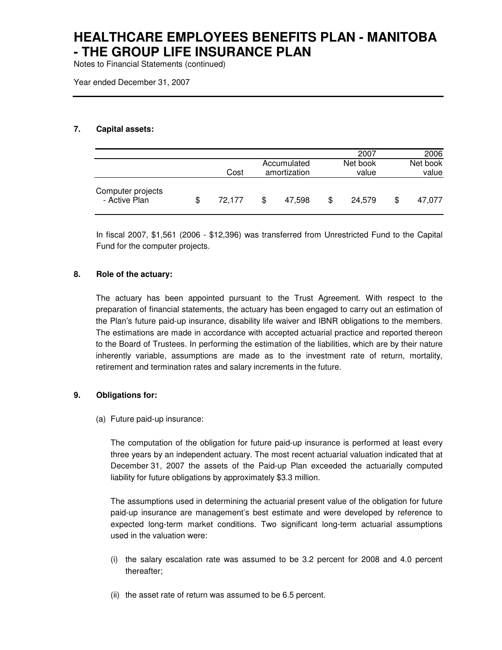Notes to Financial Statements (continued)

Year ended December 31, 2007

### **7. Capital assets:**

|                                    |              |   |              |   | 2007     | 2006     |
|------------------------------------|--------------|---|--------------|---|----------|----------|
|                                    |              |   | Accumulated  |   | Net book | Net book |
|                                    | Cost         |   | amortization |   | value    | value    |
| Computer projects<br>- Active Plan | \$<br>72,177 | S | 47.598       | S | 24.579   | 47,077   |

In fiscal 2007, \$1,561 (2006 - \$12,396) was transferred from Unrestricted Fund to the Capital Fund for the computer projects.

### **8. Role of the actuary:**

The actuary has been appointed pursuant to the Trust Agreement. With respect to the preparation of financial statements, the actuary has been engaged to carry out an estimation of the Plan's future paid-up insurance, disability life waiver and IBNR obligations to the members. The estimations are made in accordance with accepted actuarial practice and reported thereon to the Board of Trustees. In performing the estimation of the liabilities, which are by their nature inherently variable, assumptions are made as to the investment rate of return, mortality, retirement and termination rates and salary increments in the future.

#### **9. Obligations for:**

(a) Future paid-up insurance:

The computation of the obligation for future paid-up insurance is performed at least every three years by an independent actuary. The most recent actuarial valuation indicated that at December 31, 2007 the assets of the Paid-up Plan exceeded the actuarially computed liability for future obligations by approximately \$3.3 million.

The assumptions used in determining the actuarial present value of the obligation for future paid-up insurance are management's best estimate and were developed by reference to expected long-term market conditions. Two significant long-term actuarial assumptions used in the valuation were:

- (i) the salary escalation rate was assumed to be 3.2 percent for 2008 and 4.0 percent thereafter;
- (ii) the asset rate of return was assumed to be 6.5 percent.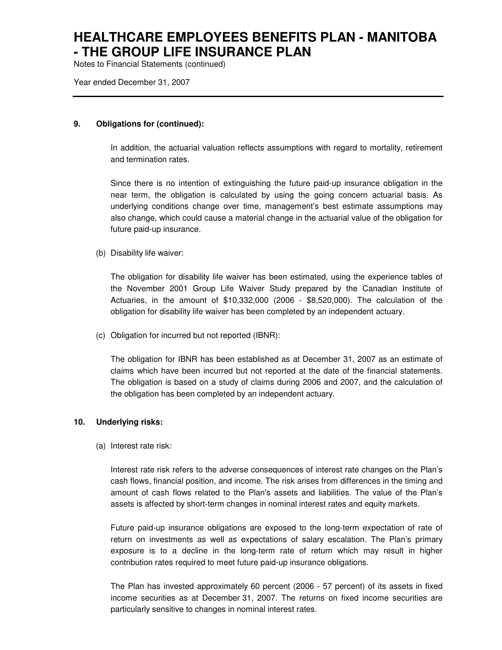Notes to Financial Statements (continued)

Year ended December 31, 2007

#### **9. Obligations for (continued):**

In addition, the actuarial valuation reflects assumptions with regard to mortality, retirement and termination rates.

Since there is no intention of extinguishing the future paid-up insurance obligation in the near term, the obligation is calculated by using the going concern actuarial basis. As underlying conditions change over time, management's best estimate assumptions may also change, which could cause a material change in the actuarial value of the obligation for future paid-up insurance.

(b) Disability life waiver:

The obligation for disability life waiver has been estimated, using the experience tables of the November 2001 Group Life Waiver Study prepared by the Canadian Institute of Actuaries, in the amount of \$10,332,000 (2006 - \$8,520,000). The calculation of the obligation for disability life waiver has been completed by an independent actuary.

(c) Obligation for incurred but not reported (IBNR):

The obligation for IBNR has been established as at December 31, 2007 as an estimate of claims which have been incurred but not reported at the date of the financial statements. The obligation is based on a study of claims during 2006 and 2007, and the calculation of the obligation has been completed by an independent actuary.

#### **10. Underlying risks:**

(a) Interest rate risk:

Interest rate risk refers to the adverse consequences of interest rate changes on the Plan's cash flows, financial position, and income. The risk arises from differences in the timing and amount of cash flows related to the Plan's assets and liabilities. The value of the Plan's assets is affected by short-term changes in nominal interest rates and equity markets.

Future paid-up insurance obligations are exposed to the long-term expectation of rate of return on investments as well as expectations of salary escalation. The Plan's primary exposure is to a decline in the long-term rate of return which may result in higher contribution rates required to meet future paid-up insurance obligations.

The Plan has invested approximately 60 percent (2006 - 57 percent) of its assets in fixed income securities as at December 31, 2007. The returns on fixed income securities are particularly sensitive to changes in nominal interest rates.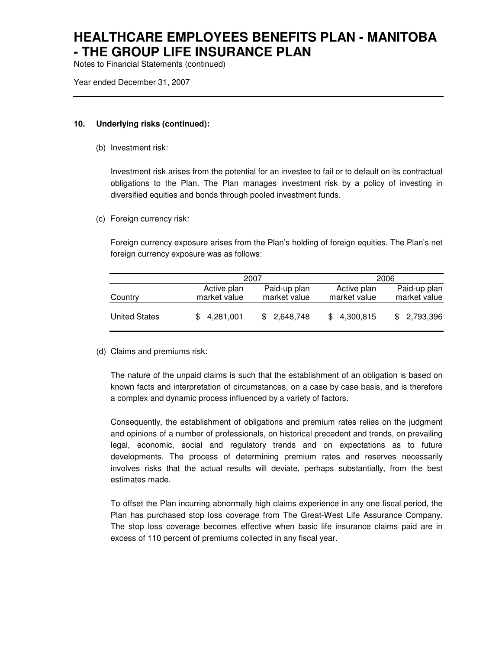Notes to Financial Statements (continued)

Year ended December 31, 2007

#### **10. Underlying risks (continued):**

(b) Investment risk:

Investment risk arises from the potential for an investee to fail or to default on its contractual obligations to the Plan. The Plan manages investment risk by a policy of investing in diversified equities and bonds through pooled investment funds.

(c) Foreign currency risk:

Foreign currency exposure arises from the Plan's holding of foreign equities. The Plan's net foreign currency exposure was as follows:

|                      |                             | 2007                         |                             | 2006                         |
|----------------------|-----------------------------|------------------------------|-----------------------------|------------------------------|
| Country              | Active plan<br>market value | Paid-up plan<br>market value | Active plan<br>market value | Paid-up plan<br>market value |
| <b>United States</b> | \$4,281,001                 | \$2,648,748                  | \$4,300,815                 | \$2,793,396                  |

(d) Claims and premiums risk:

The nature of the unpaid claims is such that the establishment of an obligation is based on known facts and interpretation of circumstances, on a case by case basis, and is therefore a complex and dynamic process influenced by a variety of factors.

Consequently, the establishment of obligations and premium rates relies on the judgment and opinions of a number of professionals, on historical precedent and trends, on prevailing legal, economic, social and regulatory trends and on expectations as to future developments. The process of determining premium rates and reserves necessarily involves risks that the actual results will deviate, perhaps substantially, from the best estimates made.

To offset the Plan incurring abnormally high claims experience in any one fiscal period, the Plan has purchased stop loss coverage from The Great-West Life Assurance Company. The stop loss coverage becomes effective when basic life insurance claims paid are in excess of 110 percent of premiums collected in any fiscal year.